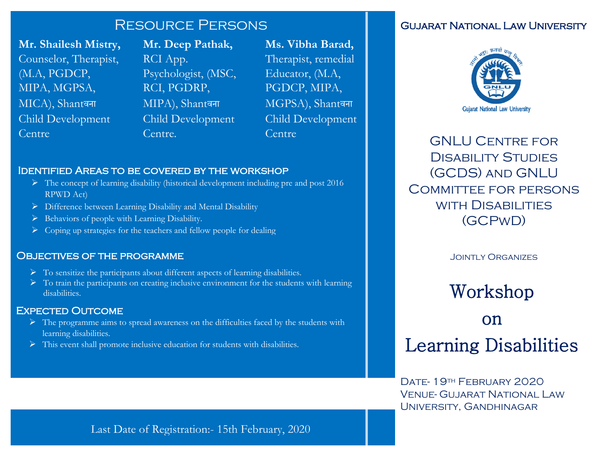## Resource Persons

**Mr. Shailesh Mistry,** Counselor, Therapist, (M.A, PGDCP, MIPA, MGPSA, MICA), Shantवना Child Development Centre

**Mr. Deep Pathak,**  RCI App. Psychologist, (MSC, RCI, PGDRP, MIPA), Shantवना Child Development Centre.

**Ms. Vibha Barad,** Therapist, remedial Educator, (M.A, PGDCP, MIPA, MGPSA), Shantवना Child Development Centre

## Identified Areas to be covered by the workshop

- $\triangleright$  The concept of learning disability (historical development including pre and post 2016) RPWD Act)
- $\triangleright$  Difference between Learning Disability and Mental Disability
- $\triangleright$  Behaviors of people with Learning Disability.
- $\triangleright$  Coping up strategies for the teachers and fellow people for dealing

## OBJECTIVES OF THE PROGRAMME

- $\triangleright$  To sensitize the participants about different aspects of learning disabilities.
- $\triangleright$  To train the participants on creating inclusive environment for the students with learning disabilities.

## Expected Outcome

- $\triangleright$  The programme aims to spread awareness on the difficulties faced by the students with learning disabilities.
- $\triangleright$  This event shall promote inclusive education for students with disabilities.

## Gujarat National Law University



GNLU Centre for Disability Studies (GCDS) and GNLU Committee for persons with Disabilities (GCPwD)

Jointly Organizes

## Workshop

# on Learning Disabilities

DATE- 19TH FEBRUARY 2020 Venue- Gujarat National Law University, Gandhinagar

Last Date of Registration:- 15th February, 2020